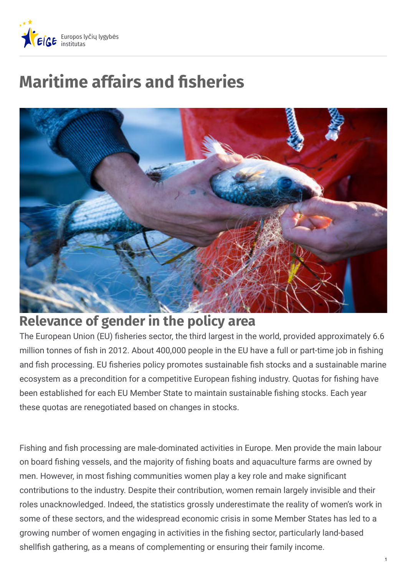

# **Maritime affairs and sheries**



# **Relevance of gender in the policy area**

The European Union (EU) fisheries sector, the third largest in the world, provided approximately 6.6 million tonnes of fish in 2012. About 400,000 people in the EU have a full or part-time job in fishing and fish processing. EU fisheries policy promotes sustainable fish stocks and a sustainable marine ecosystem as a precondition for a competitive European fishing industry. Quotas for fishing have been established for each EU Member State to maintain sustainable fishing stocks. Each year these quotas are renegotiated based on changes in stocks.

Fishing and fish processing are male-dominated activities in Europe. Men provide the main labour on board fishing vessels, and the majority of fishing boats and aquaculture farms are owned by men. However, in most fishing communities women play a key role and make significant contributions to the industry. Despite their contribution, women remain largely invisible and their roles unacknowledged. Indeed, the statistics grossly underestimate the reality of women's work in some of these sectors, and the widespread economic crisis in some Member States has led to a growing number of women engaging in activities in the fishing sector, particularly land-based shellfish gathering, as a means of complementing or ensuring their family income.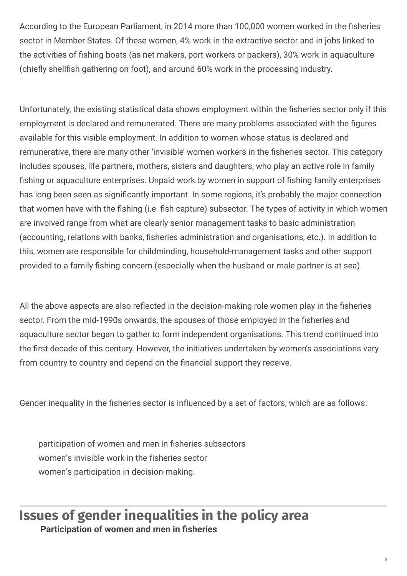According to the European Parliament, in 2014 more than 100,000 women worked in the fisheries sector in Member States. Of these women, 4% work in the extractive sector and in jobs linked to the activities of fishing boats (as net makers, port workers or packers), 30% work in aquaculture (chiefly shellfish gathering on foot), and around 60% work in the processing industry.

Unfortunately, the existing statistical data shows employment within the fisheries sector only if this employment is declared and remunerated. There are many problems associated with the figures available for this visible employment. In addition to women whose status is declared and remunerative, there are many other 'invisible' women workers in the fisheries sector. This category includes spouses, life partners, mothers, sisters and daughters, who play an active role in family fishing or aquaculture enterprises. Unpaid work by women in support of fishing family enterprises has long been seen as significantly important. In some regions, it's probably the major connection that women have with the fishing (i.e. fish capture) subsector. The types of activity in which women are involved range from what are clearly senior management tasks to basic administration (accounting, relations with banks, fisheries administration and organisations, etc.). In addition to this, women are responsible for childminding, household-management tasks and other support provided to a family fishing concern (especially when the husband or male partner is at sea).

All the above aspects are also reflected in the decision-making role women play in the fisheries sector. From the mid-1990s onwards, the spouses of those employed in the fisheries and aquaculture sector began to gather to form independent organisations. This trend continued into the first decade of this century. However, the initiatives undertaken by women's associations vary from country to country and depend on the financial support they receive.

Gender inequality in the fisheries sector is influenced by a set of factors, which are as follows:

participation of women and men in fisheries subsectors women's invisible work in the fisheries sector women's participation in decision-making.

### **Issues of gender inequalities in the policy area Participation of women and men in sheries**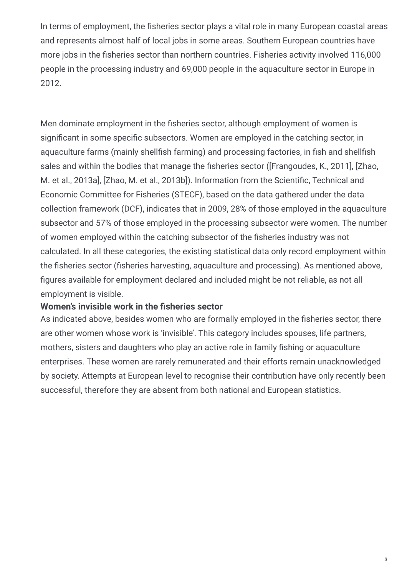In terms of employment, the fisheries sector plays a vital role in many European coastal areas and represents almost half of local jobs in some areas. Southern European countries have more jobs in the fisheries sector than northern countries. Fisheries activity involved 116,000 people in the processing industry and 69,000 people in the aquaculture sector in Europe in 2012.

Men dominate employment in the fisheries sector, although employment of women is significant in some specific subsectors. Women are employed in the catching sector, in aquaculture farms (mainly shellfish farming) and processing factories, in fish and shellfish sales and within the bodies that manage the fisheries sector ([Frangoudes, K., 2011], [Zhao, M. et al., 2013a], [Zhao, M. et al., 2013b]). Information from the Scientific, Technical and Economic Committee for Fisheries (STECF), based on the data gathered under the data collection framework (DCF), indicates that in 2009, 28% of those employed in the aquaculture subsector and 57% of those employed in the processing subsector were women. The number of women employed within the catching subsector of the fisheries industry was not calculated. In all these categories, the existing statistical data only record employment within the fisheries sector (fisheries harvesting, aquaculture and processing). As mentioned above, figures available for employment declared and included might be not reliable, as not all employment is visible.

#### **Women's invisible work in the sheries sector**

As indicated above, besides women who are formally employed in the fisheries sector, there are other women whose work is 'invisible'. This category includes spouses, life partners, mothers, sisters and daughters who play an active role in family fishing or aquaculture enterprises. These women are rarely remunerated and their efforts remain unacknowledged by society. Attempts at European level to recognise their contribution have only recently been successful, therefore they are absent from both national and European statistics.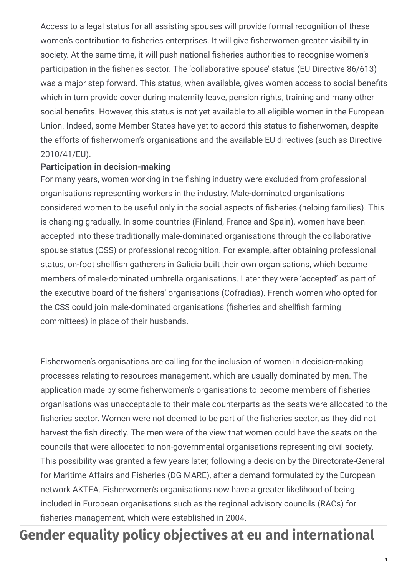Access to a legal status for all assisting spouses will provide formal recognition of these women's contribution to fisheries enterprises. It will give fisherwomen greater visibility in society. At the same time, it will push national fisheries authorities to recognise women's participation in the fisheries sector. The 'collaborative spouse' status (EU Directive 86/613) was a major step forward. This status, when available, gives women access to social benefits which in turn provide cover during maternity leave, pension rights, training and many other social benefits. However, this status is not yet available to all eligible women in the European Union. Indeed, some Member States have yet to accord this status to fisherwomen, despite the efforts of fisherwomen's organisations and the available EU directives (such as Directive 2010/41/EU).

#### **Participation in decision-making**

For many years, women working in the fishing industry were excluded from professional organisations representing workers in the industry. Male-dominated organisations considered women to be useful only in the social aspects of fisheries (helping families). This is changing gradually. In some countries (Finland, France and Spain), women have been accepted into these traditionally male-dominated organisations through the collaborative spouse status (CSS) or professional recognition. For example, after obtaining professional status, on-foot shellfish gatherers in Galicia built their own organisations, which became members of male-dominated umbrella organisations. Later they were 'accepted' as part of the executive board of the fishers' organisations (Cofradias). French women who opted for the CSS could join male-dominated organisations (fisheries and shellfish farming committees) in place of their husbands.

Fisherwomen's organisations are calling for the inclusion of women in decision-making processes relating to resources management, which are usually dominated by men. The application made by some fisherwomen's organisations to become members of fisheries organisations was unacceptable to their male counterparts as the seats were allocated to the fisheries sector. Women were not deemed to be part of the fisheries sector, as they did not harvest the fish directly. The men were of the view that women could have the seats on the councils that were allocated to non-governmental organisations representing civil society. This possibility was granted a few years later, following a decision by the Directorate-General for Maritime Affairs and Fisheries (DG MARE), after a demand formulated by the European network AKTEA. Fisherwomen's organisations now have a greater likelihood of being included in European organisations such as the regional advisory councils (RACs) for fisheries management, which were established in 2004.

# **Gender equality policy objectives at eu and international**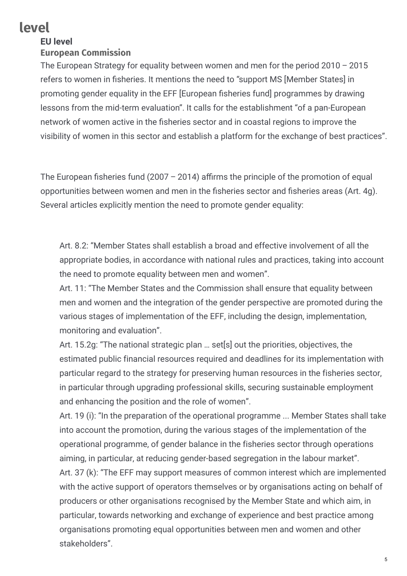# **level**

#### **EU level**

#### **European Commission**

The European Strategy for equality between women and men for the period  $2010 - 2015$ refers to women in fisheries. It mentions the need to "support MS [Member States] in promoting gender equality in the EFF [European fisheries fund] programmes by drawing lessons from the mid-term evaluation". It calls for the establishment "of a pan-European network of women active in the fisheries sector and in coastal regions to improve the visibility of women in this sector and establish a platform for the exchange of best practices".

The European fisheries fund (2007 – 2014) affirms the principle of the promotion of equal opportunities between women and men in the fisheries sector and fisheries areas (Art. 4g). Several articles explicitly mention the need to promote gender equality:

Art. 8.2: "Member States shall establish a broad and effective involvement of all the appropriate bodies, in accordance with national rules and practices, taking into account the need to promote equality between men and women".

Art. 11: "The Member States and the Commission shall ensure that equality between men and women and the integration of the gender perspective are promoted during the various stages of implementation of the EFF, including the design, implementation, monitoring and evaluation".

Art. 15.2g: "The national strategic plan … set[s] out the priorities, objectives, the estimated public financial resources required and deadlines for its implementation with particular regard to the strategy for preserving human resources in the fisheries sector, in particular through upgrading professional skills, securing sustainable employment and enhancing the position and the role of women".

Art. 19 (i): "In the preparation of the operational programme ... Member States shall take into account the promotion, during the various stages of the implementation of the operational programme, of gender balance in the fisheries sector through operations aiming, in particular, at reducing gender-based segregation in the labour market".

Art. 37 (k): "The EFF may support measures of common interest which are implemented with the active support of operators themselves or by organisations acting on behalf of producers or other organisations recognised by the Member State and which aim, in particular, towards networking and exchange of experience and best practice among organisations promoting equal opportunities between men and women and other stakeholders".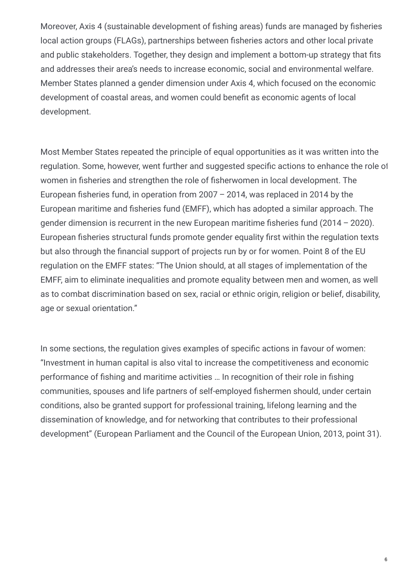Moreover, Axis 4 (sustainable development of fishing areas) funds are managed by fisheries local action groups (FLAGs), partnerships between fisheries actors and other local private and public stakeholders. Together, they design and implement a bottom-up strategy that fits and addresses their area's needs to increase economic, social and environmental welfare. Member States planned a gender dimension under Axis 4, which focused on the economic development of coastal areas, and women could benefit as economic agents of local development.

Most Member States repeated the principle of equal opportunities as it was written into the regulation. Some, however, went further and suggested specific actions to enhance the role of women in fisheries and strengthen the role of fisherwomen in local development. The European fisheries fund, in operation from 2007 – 2014, was replaced in 2014 by the European maritime and fisheries fund (EMFF), which has adopted a similar approach. The gender dimension is recurrent in the new European maritime fisheries fund  $(2014 - 2020)$ . European fisheries structural funds promote gender equality first within the regulation texts but also through the financial support of projects run by or for women. Point 8 of the EU regulation on the EMFF states: "The Union should, at all stages of implementation of the EMFF, aim to eliminate inequalities and promote equality between men and women, as well as to combat discrimination based on sex, racial or ethnic origin, religion or belief, disability, age or sexual orientation."

In some sections, the regulation gives examples of specific actions in favour of women: "Investment in human capital is also vital to increase the competitiveness and economic performance of fishing and maritime activities ... In recognition of their role in fishing communities, spouses and life partners of self-employed fishermen should, under certain conditions, also be granted support for professional training, lifelong learning and the dissemination of knowledge, and for networking that contributes to their professional development" (European Parliament and the Council of the European Union, 2013, point 31).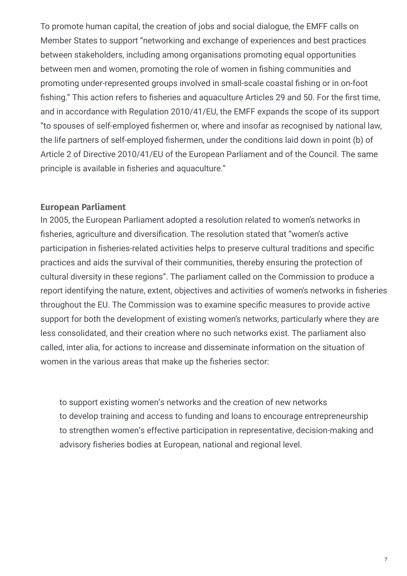To promote human capital, the creation of jobs and social dialogue, the EMFF calls on Member States to support "networking and exchange of experiences and best practices between stakeholders, including among organisations promoting equal opportunities between men and women, promoting the role of women in fishing communities and promoting under-represented groups involved in small-scale coastal fishing or in on-foot fishing." This action refers to fisheries and aquaculture Articles 29 and 50. For the first time, and in accordance with Regulation 2010/41/EU, the EMFF expands the scope of its support "to spouses of self-employed fishermen or, where and insofar as recognised by national law, the life partners of self-emploved fishermen, under the conditions laid down in point (b) of Article 2 of Directive 2010/41/EU of the European Parliament and of the Council. The same principle is available in fisheries and aquaculture."

#### **European Parliament**

In 2005, the European Parliament adopted a resolution related to women's networks in fisheries, agriculture and diversification. The resolution stated that "women's active participation in fisheries-related activities helps to preserve cultural traditions and specific practices and aids the survival of their communities, thereby ensuring the protection of cultural diversity in these regions". The parliament called on the Commission to produce a report identifying the nature, extent, objectives and activities of women's networks in fisheries throughout the EU. The Commission was to examine specific measures to provide active support for both the development of existing women's networks, particularly where they are less consolidated, and their creation where no such networks exist. The parliament also called, inter alia, for actions to increase and disseminate information on the situation of women in the various areas that make up the fisheries sector:

to support existing women's networks and the creation of new networks to develop training and access to funding and loans to encourage entrepreneurship to strengthen women's effective participation in representative, decision-making and advisory fisheries bodies at European, national and regional level.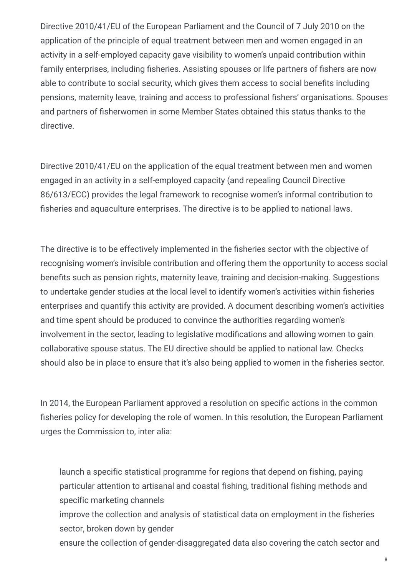Directive 2010/41/EU of the European Parliament and the Council of 7 July 2010 on the application of the principle of equal treatment between men and women engaged in an activity in a self-employed capacity gave visibility to women's unpaid contribution within family enterprises, including fisheries. Assisting spouses or life partners of fishers are now able to contribute to social security, which gives them access to social benefits including pensions, maternity leave, training and access to professional fishers' organisations. Spouses and partners of fisherwomen in some Member States obtained this status thanks to the directive.

Directive 2010/41/EU on the application of the equal treatment between men and women engaged in an activity in a self-employed capacity (and repealing Council Directive 86/613/ECC) provides the legal framework to recognise women's informal contribution to fisheries and aquaculture enterprises. The directive is to be applied to national laws.

The directive is to be effectively implemented in the fisheries sector with the objective of recognising women's invisible contribution and offering them the opportunity to access social benefits such as pension rights, maternity leave, training and decision-making. Suggestions to undertake gender studies at the local level to identify women's activities within fisheries enterprises and quantify this activity are provided. A document describing women's activities and time spent should be produced to convince the authorities regarding women's involvement in the sector, leading to legislative modifications and allowing women to gain collaborative spouse status. The EU directive should be applied to national law. Checks should also be in place to ensure that it's also being applied to women in the fisheries sector.

In 2014, the European Parliament approved a resolution on specific actions in the common fisheries policy for developing the role of women. In this resolution, the European Parliament urges the Commission to, inter alia:

launch a specific statistical programme for regions that depend on fishing, paying particular attention to artisanal and coastal fishing, traditional fishing methods and specific marketing channels

improve the collection and analysis of statistical data on employment in the fisheries sector, broken down by gender

ensure the collection of gender-disaggregated data also covering the catch sector and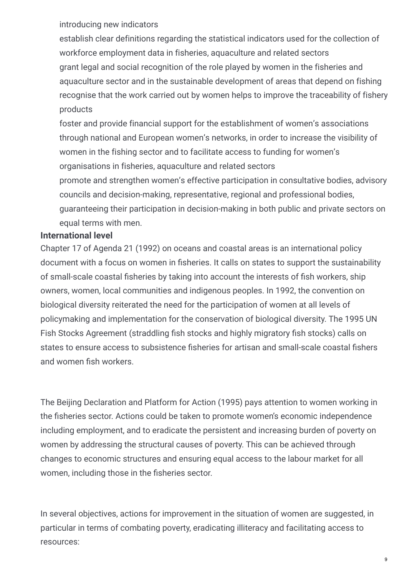introducing new indicators

establish clear definitions regarding the statistical indicators used for the collection of workforce employment data in fisheries, aquaculture and related sectors grant legal and social recognition of the role played by women in the fisheries and aquaculture sector and in the sustainable development of areas that depend on fishing recognise that the work carried out by women helps to improve the traceability of fishery products

foster and provide financial support for the establishment of women's associations through national and European women's networks, in order to increase the visibility of women in the fishing sector and to facilitate access to funding for women's organisations in fisheries, aquaculture and related sectors

promote and strengthen women's effective participation in consultative bodies, advisory councils and decision-making, representative, regional and professional bodies, guaranteeing their participation in decision-making in both public and private sectors on equal terms with men.

#### **International level**

Chapter 17 of Agenda 21 (1992) on oceans and coastal areas is an international policy document with a focus on women in fisheries. It calls on states to support the sustainability of small-scale coastal fisheries by taking into account the interests of fish workers, ship owners, women, local communities and indigenous peoples. In 1992, the convention on biological diversity reiterated the need for the participation of women at all levels of policymaking and implementation for the conservation of biological diversity. The 1995 UN Fish Stocks Agreement (straddling fish stocks and highly migratory fish stocks) calls on states to ensure access to subsistence fisheries for artisan and small-scale coastal fishers and women fish workers.

The Beijing Declaration and Platform for Action (1995) pays attention to women working in the fisheries sector. Actions could be taken to promote women's economic independence including employment, and to eradicate the persistent and increasing burden of poverty on women by addressing the structural causes of poverty. This can be achieved through changes to economic structures and ensuring equal access to the labour market for all women, including those in the fisheries sector.

In several objectives, actions for improvement in the situation of women are suggested, in particular in terms of combating poverty, eradicating illiteracy and facilitating access to resources: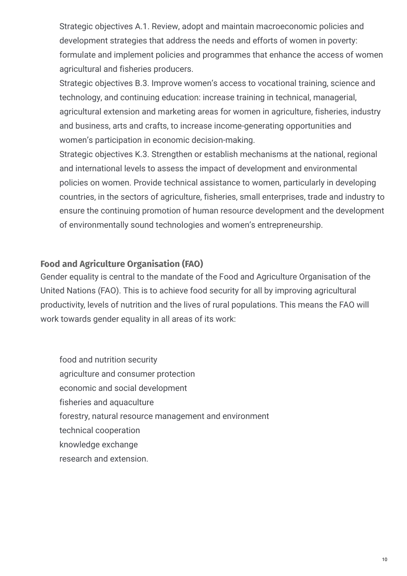Strategic objectives A.1. Review, adopt and maintain macroeconomic policies and development strategies that address the needs and efforts of women in poverty: formulate and implement policies and programmes that enhance the access of women agricultural and fisheries producers.

Strategic objectives B.3. Improve women's access to vocational training, science and technology, and continuing education: increase training in technical, managerial, agricultural extension and marketing areas for women in agriculture, fisheries, industry and business, arts and crafts, to increase income-generating opportunities and women's participation in economic decision-making.

Strategic objectives K.3. Strengthen or establish mechanisms at the national, regional and international levels to assess the impact of development and environmental policies on women. Provide technical assistance to women, particularly in developing countries, in the sectors of agriculture, fisheries, small enterprises, trade and industry to ensure the continuing promotion of human resource development and the development of environmentally sound technologies and women's entrepreneurship.

#### **Food and Agriculture Organisation (FAO)**

Gender equality is central to the mandate of the Food and Agriculture Organisation of the United Nations (FAO). This is to achieve food security for all by improving agricultural productivity, levels of nutrition and the lives of rural populations. This means the FAO will work towards gender equality in all areas of its work:

food and nutrition security agriculture and consumer protection economic and social development fisheries and aquaculture forestry, natural resource management and environment technical cooperation knowledge exchange research and extension.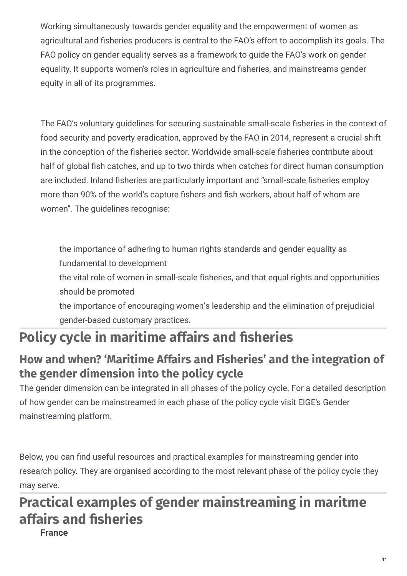Working simultaneously towards gender equality and the empowerment of women as agricultural and fisheries producers is central to the FAO's effort to accomplish its goals. The FAO policy on gender equality serves as a framework to guide the FAO's work on gender equality. It supports women's roles in agriculture and fisheries, and mainstreams gender equity in all of its programmes.

The FAO's voluntary guidelines for securing sustainable small-scale fisheries in the context of food security and poverty eradication, approved by the FAO in 2014, represent a crucial shift in the conception of the fisheries sector. Worldwide small-scale fisheries contribute about half of global fish catches, and up to two thirds when catches for direct human consumption are included. Inland fisheries are particularly important and "small-scale fisheries employ more than 90% of the world's capture fishers and fish workers, about half of whom are women". The guidelines recognise:

the importance of adhering to human rights standards and gender equality as fundamental to development

the vital role of women in small-scale fisheries, and that equal rights and opportunities should be promoted

the importance of encouraging women's leadership and the elimination of prejudicial gender-based customary practices.

# **Policy cycle in maritime affairs and sheries**

# **How and when? 'Maritime Affairs and Fisheries' and the integration of the gender dimension into the policy cycle**

The gender dimension can be integrated in all phases of the policy cycle. For a detailed description of how gender can be mainstreamed in each phase of the policy cycle visit EIGE's Gender mainstreaming platform.

Below, you can find useful resources and practical examples for mainstreaming gender into research policy. They are organised according to the most relevant phase of the policy cycle they may serve.

# **Practical examples of gender mainstreaming in maritme affairs and sheries**

**France**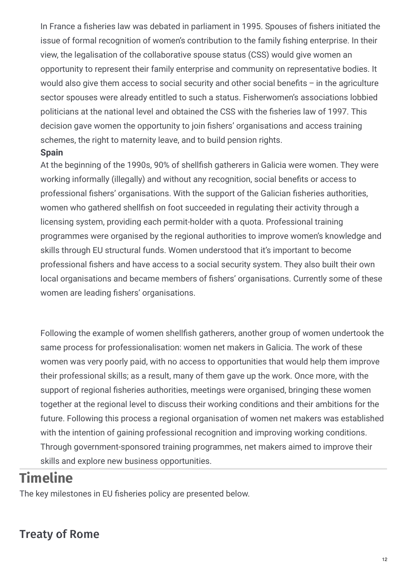In France a fisheries law was debated in parliament in 1995. Spouses of fishers initiated the issue of formal recognition of women's contribution to the family fishing enterprise. In their view, the legalisation of the collaborative spouse status (CSS) would give women an opportunity to represent their family enterprise and community on representative bodies. It would also give them access to social security and other social benefits  $-$  in the agriculture sector spouses were already entitled to such a status. Fisherwomen's associations lobbied politicians at the national level and obtained the CSS with the fisheries law of 1997. This decision gave women the opportunity to join fishers' organisations and access training schemes, the right to maternity leave, and to build pension rights.

#### **Spain**

At the beginning of the 1990s, 90% of shellfish gatherers in Galicia were women. They were working informally (illegally) and without any recognition, social benefits or access to professional fishers' organisations. With the support of the Galician fisheries authorities, women who gathered shellfish on foot succeeded in regulating their activity through a licensing system, providing each permit-holder with a quota. Professional training programmes were organised by the regional authorities to improve women's knowledge and skills through EU structural funds. Women understood that it's important to become professional fishers and have access to a social security system. They also built their own local organisations and became members of fishers' organisations. Currently some of these women are leading fishers' organisations.

Following the example of women shellfish gatherers, another group of women undertook the same process for professionalisation: women net makers in Galicia. The work of these women was very poorly paid, with no access to opportunities that would help them improve their professional skills; as a result, many of them gave up the work. Once more, with the support of regional fisheries authorities, meetings were organised, bringing these women together at the regional level to discuss their working conditions and their ambitions for the future. Following this process a regional organisation of women net makers was established with the intention of gaining professional recognition and improving working conditions. Through government-sponsored training programmes, net makers aimed to improve their skills and explore new business opportunities.

# **Timeline**

The key milestones in EU fisheries policy are presented below.

### Treaty of Rome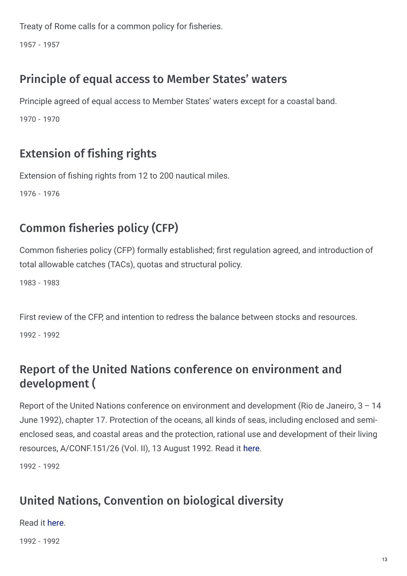Treaty of Rome calls for a common policy for fisheries.

1957 - 1957

# Principle of equal access to Member States' waters

Principle agreed of equal access to Member States' waters except for a coastal band.

1970 - 1970

# Extension of fishing rights

Extension of fishing rights from 12 to 200 nautical miles.

1976 - 1976

# Common fisheries policy (CFP)

Common fisheries policy (CFP) formally established; first regulation agreed, and introduction of total allowable catches (TACs), quotas and structural policy.

1983 - 1983

First review of the CFP, and intention to redress the balance between stocks and resources. 1992 - 1992

# Report of the United Nations conference on environment and development (

Report of the United Nations conference on environment and development (Rio de Janeiro, 3 – 14 June 1992), chapter 17. Protection of the oceans, all kinds of seas, including enclosed and semienclosed seas, and coastal areas and the protection, rational use and development of their living resources, A/CONF.151/26 (Vol. II), 13 August 1992. Read it [here](http://www.un.org/Depts/los/consultative_process/documents/A21-Ch17.htm).

1992 - 1992

# United Nations, Convention on biological diversity

Read it [here](https://www.cbd.int/doc/legal/cbd-en.pdf).

1992 - 1992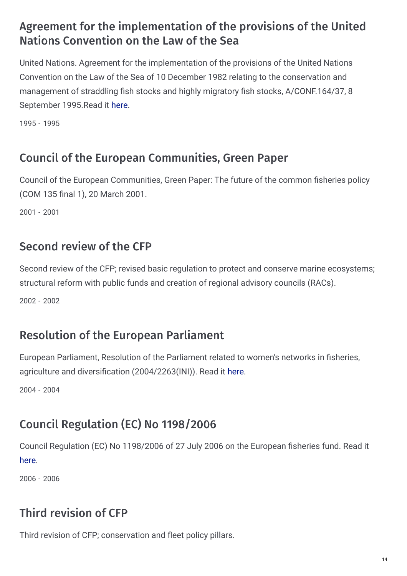## Agreement for the implementation of the provisions of the United Nations Convention on the Law of the Sea

United Nations. Agreement for the implementation of the provisions of the United Nations Convention on the Law of the Sea of 10 December 1982 relating to the conservation and management of straddling fish stocks and highly migratory fish stocks, A/CONF.164/37, 8 September 1995.Read it [here](http://www.un.org/Depts/los/convention_agreements/texts/fish_stocks_agreement/CONF164_37.htm).

1995 - 1995

## Council of the European Communities, Green Paper

Council of the European Communities, Green Paper: The future of the common fisheries policy (COM 135 final 1), 20 March 2001.

2001 - 2001

### Second review of the CFP

Second review of the CFP; revised basic regulation to protect and conserve marine ecosystems; structural reform with public funds and creation of regional advisory councils (RACs).

2002 - 2002

### Resolution of the European Parliament

European Parliament, Resolution of the Parliament related to women's networks in fisheries, agriculture and diversification (2004/2263(INI)). Read it [here](http://www.europarl.europa.eu/oeil/popups/ficheprocedure.do?lang=en&reference=2004/2263(INI)).

2004 - 2004

# Council Regulation (EC) No 1198/2006

Council Regulation (EC) No 1198/2006 of 27 July 2006 on the European fisheries fund. Read it [here](http://eur-lex.europa.eu/legal-content/EN/TXT/PDF/?uri=CELEX:32006R1198&from=EN).

2006 - 2006

# Third revision of CFP

Third revision of CFP; conservation and fleet policy pillars.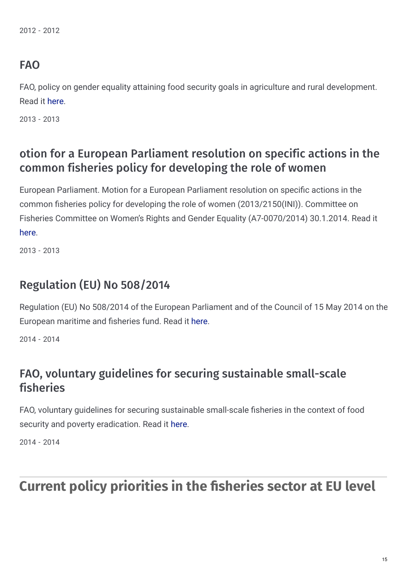2012 - 2012

#### FAO

FAO, policy on gender equality attaining food security goals in agriculture and rural development. Read it [here](http://www.fao.org/docrep/017/i3205e/i3205e.pdf).

2013 - 2013

### otion for a European Parliament resolution on specific actions in the common fisheries policy for developing the role of women

European Parliament. Motion for a European Parliament resolution on specific actions in the common fisheries policy for developing the role of women (2013/2150(INI)). Committee on Fisheries Committee on Women's Rights and Gender Equality (A7-0070/2014) 30.1.2014. Read it [here](http://www.europarl.europa.eu/sides/getDoc.do?pubRef=-//EP//NONSGML+REPORT+A7-2014-0070+0+DOC+PDF+V0//EN).

2013 - 2013

### Regulation (EU) No 508/2014

Regulation (EU) No 508/2014 of the European Parliament and of the Council of 15 May 2014 on the European maritime and fisheries fund. Read it [here](http://eur-lex.europa.eu/legal-content/EN/TXT/PDF/?uri=CELEX:32014R0508&from=EN).

2014 - 2014

### FAO, voluntary guidelines for securing sustainable small-scale fisheries

FAO, voluntary guidelines for securing sustainable small-scale fisheries in the context of food security and poverty eradication. Read it [here](ftp://ftp.fao.org/FI/DOCUMENT/ssf/SSF_guidelines/TC/2014/2e.pdf).

2014 - 2014

# **Current policy priorities in the sheries sector at EU level**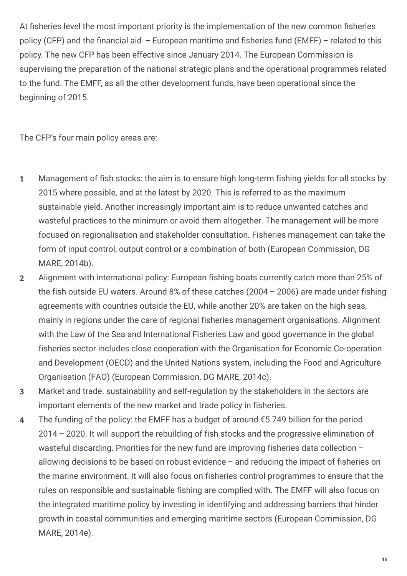At fisheries level the most important priority is the implementation of the new common fisheries policy (CFP) and the financial aid – European maritime and fisheries fund (EMFF) – related to this policy. The new CFP has been effective since January 2014. The European Commission is supervising the preparation of the national strategic plans and the operational programmes related to the fund. The EMFF, as all the other development funds, have been operational since the beginning of 2015.

The CFP's four main policy areas are:

- Management of fish stocks: the aim is to ensure high long-term fishing yields for all stocks by 2015 where possible, and at the latest by 2020. This is referred to as the maximum sustainable yield. Another increasingly important aim is to reduce unwanted catches and wasteful practices to the minimum or avoid them altogether. The management will be more focused on regionalisation and stakeholder consultation. Fisheries management can take the form of input control, output control or a combination of both (European Commission, DG MARE, 2014b). **1**
- Alignment with international policy: European fishing boats currently catch more than 25% of the fish outside EU waters. Around 8% of these catches (2004 – 2006) are made under fishing agreements with countries outside the EU, while another 20% are taken on the high seas, mainly in regions under the care of regional fisheries management organisations. Alignment with the Law of the Sea and International Fisheries Law and good governance in the global fisheries sector includes close cooperation with the Organisation for Economic Co-operation and Development (OECD) and the United Nations system, including the Food and Agriculture Organisation (FAO) (European Commission, DG MARE, 2014c). **2**
- Market and trade: sustainability and self-regulation by the stakeholders in the sectors are important elements of the new market and trade policy in fisheries. **3**
- The funding of the policy: the EMFF has a budget of around  $\epsilon$ 5.749 billion for the period 2014 – 2020. It will support the rebuilding of fish stocks and the progressive elimination of wasteful discarding. Priorities for the new fund are improving fisheries data collection – allowing decisions to be based on robust evidence – and reducing the impact of fisheries on the marine environment. It will also focus on fisheries control programmes to ensure that the rules on responsible and sustainable fishing are complied with. The EMFF will also focus on the integrated maritime policy by investing in identifying and addressing barriers that hinder growth in coastal communities and emerging maritime sectors (European Commission, DG MARE, 2014e). **4**